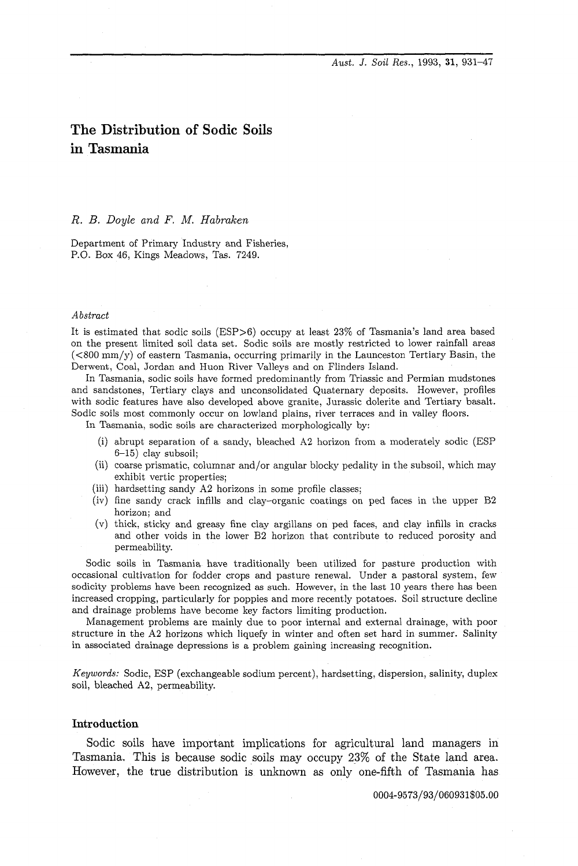*Aust. 3.* **Soil** *Res.,* 1993, **31,** 931-47

# **The Distribution of Sodic Soils in Tasmania**

## *R. B. Doyle and F.* M. *Habraken*

Department of Primary Industry and Fisheries, P.O. Box 46, Kings Meadows, Tas. 7249.

#### *Abstract*

It is estimated that sodic soils (ESP>G) occupy at least 23% of Tasmania's land area based on the present limited soil data set. Sodic soils are mostly restricted to lower rainfall areas  $(<800 \text{ mm/y})$  of eastern Tasmania, occurring primarily in the Launceston Tertiary Basin, the Derwent, Coal, Jordan and Huon River Valleys and on Flinders Island.

In Tasmania, sodic soils have formed predominantly from Triassic and Permian mudstones and sandstones, Tertiary clays and unconsolidated Quaternary deposits. However, profiles with sodic features have also developed above granite, Jurassic dolerite and Tertiary basalt. Sodic soils most commonly occur on lowland plains, river terraces and in valley floors.

In Tasmania, sodic soils are characterized morphologically by:

- (i) abrupt separation of a sandy, bleached **A2** horizon from a moderately sodic (ESP 6-15) clay subsoil;
- (ii) coarse prismatic, columnar and/or angular blocky pedality in the subsoil, which may exhibit vertic properties;
- (iii) hardsetting sandy A2 horizons in some profile classes;
- (iv) fine sandy crack infills and clay-organic coatings on ped faces in the upper B2 horizon; and
- (v) thick, sticky and greasy fine clay argillans on ped faces, and clay infills in cracks and other voids in the lower B2 horizon that contribute to reduced porosity and permeability.

Sodic soils in Tasmania have traditionally been utilized for pasture production with occasional cultivation for fodder crops and pasture renewal. Under a pastoral system, few sodicity problems have been recognized as such. However, in the last 10 years there has been increased cropping, particularly for poppies and more recently potatoes. Soil structure decline and drainage problems have become key factors limiting production.

Management problems are mainly due to poor internal and external drainage, with poor structure in the **A2** horizons which liquefy in winter and often set hard in summer. Salinity in associated drainage depressions is a problem gaining increasing recognition.

*Keywords:* Sodic, ESP (exchangeable sodium percent), hardsetting, dispersion, salinity, duplex soil, bleached **A2,** permeability.

# **Introduction**

Sodic soils have important implications for agricultural land managers in Tasmania. This is because sodic soils may occupy 23% of the State land area. However, the true distribution is unknown as only one-fifth of Tasmania has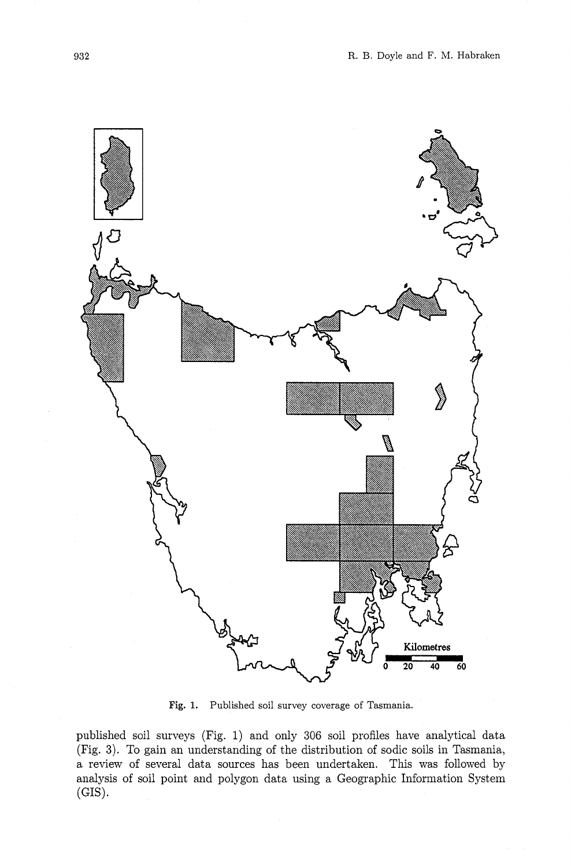

**Fig. 1.** Published soil survey coverage of Tasmania.

published soil surveys (Fig. 1) and only 306 soil profiles have analytical data (Fig. **3).** To gain an understanding of the distribution of sodic soils in Tasmania, a review of several data sources has been undertaken. This was followed by analysis of soil point and polygon data using a Geographic Information System  $(GIS)$ .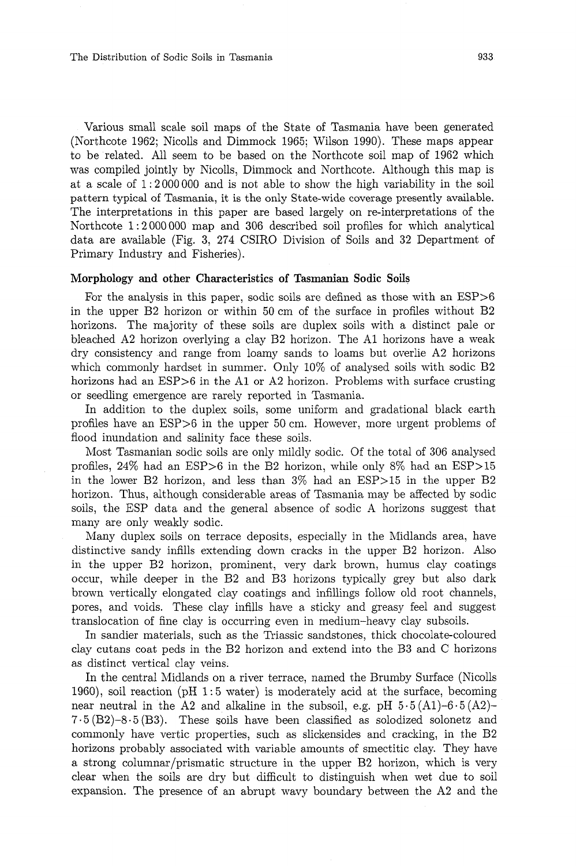The Distribution of Sodic Soils in Tasmania

Various small scale soil maps of the State of Tasmania have been generated (Northcote 1962; Nicolls and Dimmock 1965: Wilson 1990). These maps appear to be related. All seem to be based on the Northcote soil map of 1962 which was compiled jointly by Nicolls, Dimmock and Northcote. Although this map is at a scale of 1 : 2000000 and is not able to show the high variability in the soil pattern typical of Tasmania, it is the only State-wide coverage presently available. The interpretations in this paper are based largely on re-interpretations of the Northcote 1: 2000000 map and 306 described soil profiles for which analytical data are available (Fig. 3, 274 CSIRO Division of Soils and 32 Department of Primary Industry and Fisheries).

## **Morphology and other Characteristics of Tasmanian Sodic Soils**

For the analysis in this paper, sodic soils are defined as those with an ESP>6 in the upper B2 horizon or within 50 cm of the surface in profiles without B2 horizons. The majority of these soils are duplex soils with a distinct pale or bleached A2 horizon overlying a clay B2 horizon. The A1 horizons have a weak dry consistency and range from loamy sands to loams but overlie A2 horizons which commonly hardset in summer. Only 10% of analysed soils with sodic B2 horizons had an  $ESP>6$  in the A1 or A2 horizon. Problems with surface crusting or seedling emergence are rarely reported in Tasmania.

In addition to the duplex soils, some uniform and gradational black earth profiles have an  $ESP>6$  in the upper 50 cm. However, more urgent problems of flood inundation and salinity face these soils.

Most Tasmanian sodic soils are only mildly sodic. Of the total of 306 analysed profiles, 24% had an ESP>G in the B2 horizon, while only 8% had an ESP>15 in the lower B2 horizon, and less than 3% had an ESP>15 in the upper B2 horizon. Thus, although considerable areas of Tasmania may be affected by sodic soils, the ESP data and the general absence of sodic A horizons suggest that many are only weakly sodic.

Many duplex soils on terrace deposits, especially in the Midlands area, have distinctive sandy infills extending down cracks in the upper B2 horizon. Also in the upper B2 horizon, prominent, very dark brown, humus clay coatings occur, while deeper in the B2 and B3 horizons typically grey but also dark brown vertically elongated clay coatings and infillings follow old root channels, pores, and voids. These clay infills have a sticky and greasy feel and suggest translocation of fine clay is occurring even in medium-heavy clay subsoils.

In sandier materials, such as the Triassic sandstones, thick chocolate-coloured clay cutans coat peds in the B2 horizon and extend into the B3 and C horizons as distinct vertical clay veins.

In the central Midlands on a river terrace, named the Brumby Surface (Nicolls 1960), soil reaction (pH 1 : 5 water) is moderately acid at the surface, becoming near neutral in the A2 and alkaline in the subsoil, e.g. pH  $5.5(A1)-6.5(A2)$ - $7.5(B2)-8.5(B3)$ . These soils have been classified as solodized solonetz and commonly have vertic properties, such as slickensides and cracking, in the B2 horizons probably associated with variable amounts of smectitic clay. They have a strong columnar/prismatic structure in the upper B2 horizon, which is very clear when the soils are dry but difficult to distinguish when wet due to soil expansion. The presence of an abrupt wavy boundary between the A2 and the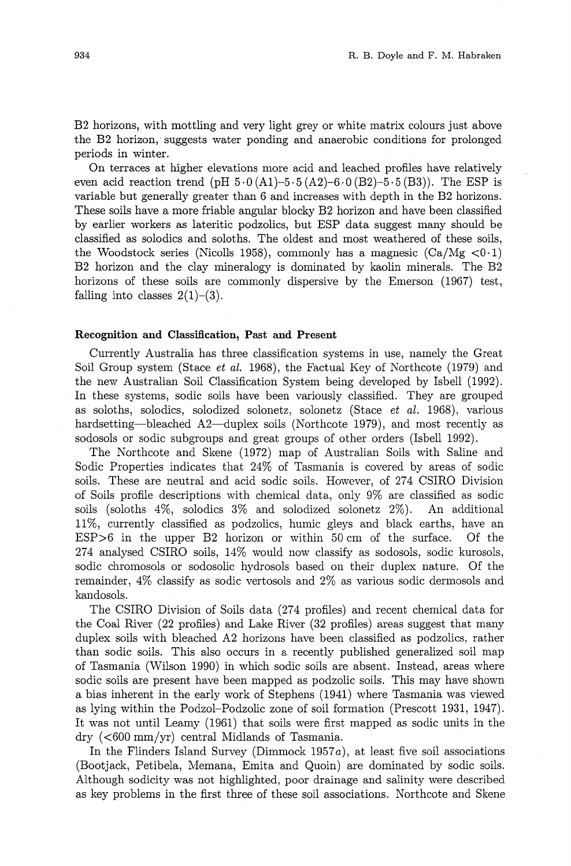B2 horizons, with mottling and very light grey or white matrix colours just above the B2 horizon, suggests water ponding and anaerobic conditions for prolonged periods in winter.

On terraces at higher elevations more acid and leached profiles have relatively even acid reaction trend (pH  $5.0 (A1) - 5.5 (A2) - 6.0 (B2) - 5.5 (B3)$ ). The ESP is variable but generally greater than 6 and increases with depth in the B2 horizons. These soils have a more friable angular blocky B2 horizon and have been classified by earlier workers as lateritic podzolics, but ESP data suggest many should be classified as solodics and soloths. The oldest and most weathered of these soils, the Woodstock series (Nicolls 1958), commonly has a magnesic  $(Ca/Mg < 0.1)$ B2 horizon and the clay mineralogy is dominated by kaolin minerals. The B2 horizons of these soils are commonly dispersive by the Emerson (1967) test, falling into classes  $2(1)-(3)$ .

## Recognition and Classification, Past **and** Present

Currently Australia has three classification systems in use, namely the Great Soil Group system (Stace *et* al. 1968), the Factual Key of Northcote (1979) and the new Australian Soil Classification System being developed by Isbell (1992). In these systems, sodic soils have been variously classified. They are grouped as soloths, solodics, solodized solonetz, solonetz (Stace *et* al. 1968), various hardsetting—bleached A2—duplex soils (Northcote 1979), and most recently as sodosols or sodic subgroups and great groups of other orders (Isbell 1992).

The Northcote and Skene (1972) map of Australian Soils with Saline and Sodic Properties indicates that 24% of Tasmania is covered by areas of sodic soils. These are neutral and acid sodic soils. However, of 274 CSIRO Division of Soils profile descriptions with chemical data, only 9% are classified as sodic soils (soloths 4%, solodics 3% and solodized solonetz 2%). An additional 11%, currently classified as podzolics, humic gleys and black earths, have an ESP>G in the upper B2 horizon or within 50 cm of the surface. Of the 274 analysed CSIRO soils, 14% would now classify as sodosols, sodic kurosols, sodic chromosols or sodosolic hydrosols based on their duplex nature. Of the remainder, 4% classify as sodic vertosols and 2% as various sodic dermosols and kandosols.

The CSIRO Division of Soils data (274 profiles) and recent chemical data for the Coal River (22 profiles) and Lake River (32 profiles) areas suggest that many duplex soils with bleached A2 horizons have been classified as podzolics, rather than sodic soils. This also occurs in a recently published generalized soil map of Tasmania (Wilson 1990) in which sodic soils are absent. Instead, areas where sodic soils are present have been mapped as podzolic soils. This may have shown a bias inherent in the early work of Stephens (1941) where Tasmania was viewed as lying within the Podzol-Podzolic zone of soil formation (Prescott 1931, 1947). It was not until Leamy (1961) that soils were first mapped as sodic units in the dry (<GO0 mm/yr) central Midlands of Tasmania.

In the Flinders Island Survey (Dimmock 1957a), at least five soil associations (Bootjack, Petibela, Memana, Emita and Quoin) are dominated by sodic soils. Although sodicity was not highlighted, poor drainage and salinity were described as key problems in the first three of these soil associations. Northcote and Skene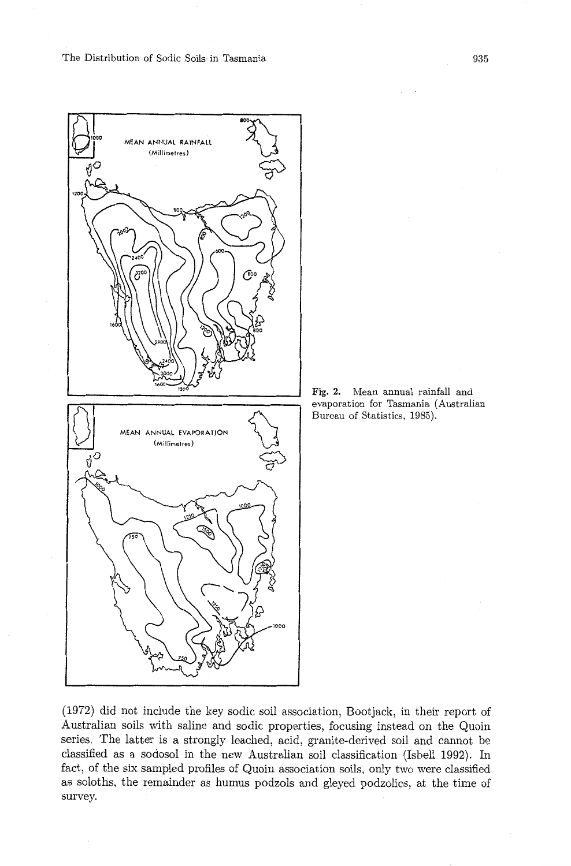The Distribution of Sodic Soils in Tasmania





(1972) did not include the key sodic soil association, Bootjack, in their report of Australian soils with saline and sodic properties, focusing instead on the Quoin series. The latter is a strongly leached, acid, granite-derived soil and cannot be classified as a sodosol in the new Australian soil classification (Isbell 1992). In fact, of the six sampled profiles of Quoin association soils, only two were classified as soloths, the remainder as humus podzols and gleyed podzolics, at the time of survey.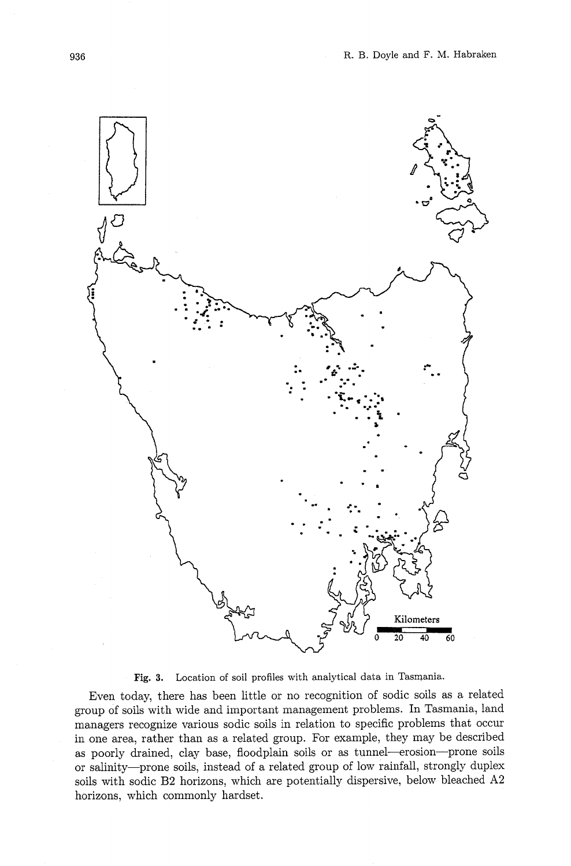

**Fig. 3.** Location of soil profiles with analytical data in Tasmania.

Even today, there has been little or no recognition of sodic soils as a related group of soils with wide and important management problems. In Tasmania, land managers recognize various sodic soils in relation to specific problems that occur in one area, rather than as a related group. For example, they may be described as poorly drained, clay base, floodplain soils or as tunnel-erosion-prone soils or salinity-prone soils, instead of a related group of low rainfall, strongly duplex soils with sodic B2 horizons, which are potentially dispersive, below bleached **A2**  horizons, which commonly hardset.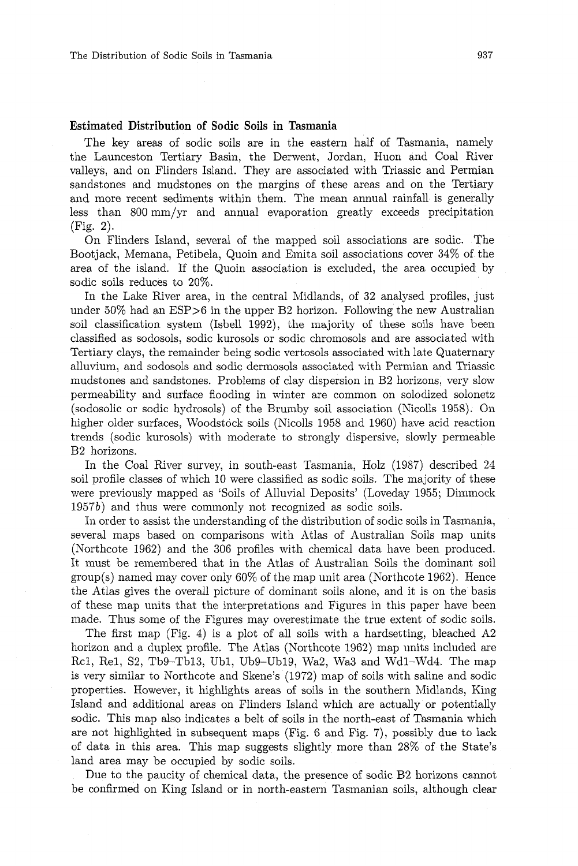## **Estimated Distribution of Sodic Soils in Tasmania**

The key areas of sodic soils are in the eastern half of Tasmania, namely the Launceston Tertiary Basin, the Derwent, Jordan, Huon and Coal River valleys, and on Flinders Island. They are associated with Triassic and Permian sandstones and mudstones on the margins of these areas and on the Tertiary and more recent sediments within them. The mean annual rainfall is generally less than 800 mm/yr and annual evaporation greatly exceeds precipitation (Fig. 2).

On Flinders Island, several of the mapped soil associations are sodic. The Bootjack, Memana, Petibela, Quoin and Emita soil associations cover 34% of the area of the island. If the Quoin association is excluded, the area occupied by sodic soils reduces to 20%.

In the Lake River area, in the central Midlands, of 32 analysed profiles, just under  $50\%$  had an ESP $>6$  in the upper B2 horizon. Following the new Australian soil classification system (Isbell l992), the majority of these soils have been classified as sodosols, sodic kurosols or sodic chromosols and are associated with Tertiary clays, the remainder being sodic vertosols associated with late Quaternary alluvium, and sodosols and sodic dermosols associated with Permian and Triassic mudstones and sandstones. Problems of clay dispersion in B2 horizons, very slow permeability and surface flooding in winter are common on solodized solonetz (sodosolic or sodic hydrosols) of the Brumby soil association (Nicolls 1958). On higher older surfaces, Woodstock soils (Nicolls 1958 and 1960) have acid reaction trends (sodic kurosols) with moderate to strongly dispersive. slowly permeable B2 horizons.

In the Coal River survey, in south-east Tasmania, Holz (1987) described 24 soil profile classes of which 10 were classified as sodic soils. The majority of these were previously mapped as 'Soils of Alluvial Deposits' (Loveday 1955; Dimmock 1957b) and thus were commonly not recognized as sodic soils.

In order to assist the understanding of the distribution of sodic soils in Tasmania, several maps based on comparisons with Atlas of Australian Soils map units (Northcote 1962) and the 306 profiles with chemical data have been produced. It must be remembered that in the Atlas of Australian Soils the dominant soil group(s) named may cover only 60% of the map unit area (Northcote 1962). Hence the Atlas gives the overall picture of dominant soils alone, and it is on the basis of these map units that the interpretations and Figures in this paper have been made. Thus some of the Figures may overestimate the true extent of sodic soils.

The first map (Fig. 4) is a plot of all soils with a hardsetting, bleached A2 horizon and a duplex profile. The Atlas (Northcote 1962) map units included are Rcl, Rel, S2, Tb9-Tb13, Ubl, Ub9-Ub19, Wa2, Wa3 and Wdl-Wd4. The map is very similar to Northcote and Skene's (1972) map of soils with saline and sodic properties. However, it highlights areas of soils in the southern Midlands, King Island and additional areas on Flinders Island which are actually or potentially sodic. This map also indicates a belt of soils in the north-east of Tasmania which are not highlighted in subsequent maps (Fig. 6 and Fig. 7), possibly due to lack of data in this area. This map suggests slightly more than 28% of the State's land area may be occupied by sodic soils.

Due to the paucity of chemical data, the presence of sodic B2 horizons cannot be confirmed on King Island or in north-eastern Tasmanian soils, although clear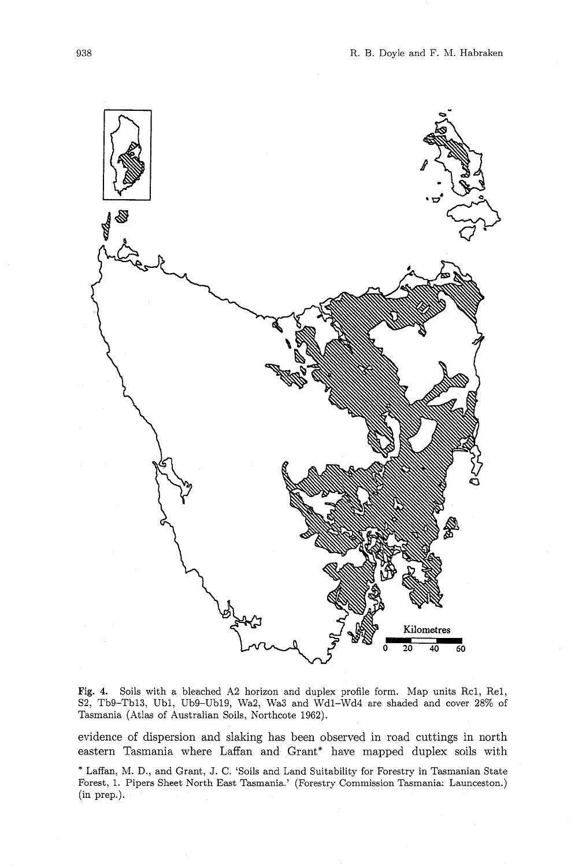

**Fig. 4.** Soils with a bleached A2 horizon and duplex profile form. Map units Rcl, Rel, S2, Tb9-Tbl3, Ubl, Ub9-Ubl9, Wa2, Wa3 and Wdl-Wd4 are shaded and cover 28% of Tasmania (Atlas of Australian Soils, Northcote 1962).

evidence of dispersion and slaking has been observed in road cuttings in north eastern Tasmania where Laffan and Grant\* have mapped duplex soils with

<sup>\*</sup> Laffan, M. D., and Grant, J. **C.** 'Soils and Land Suitability for Forestry in Tasmanian State Forest, 1. Pipers Sheet North East Tasmania.' (Forestry Commission Tasmania: Launceston.) (in prep.).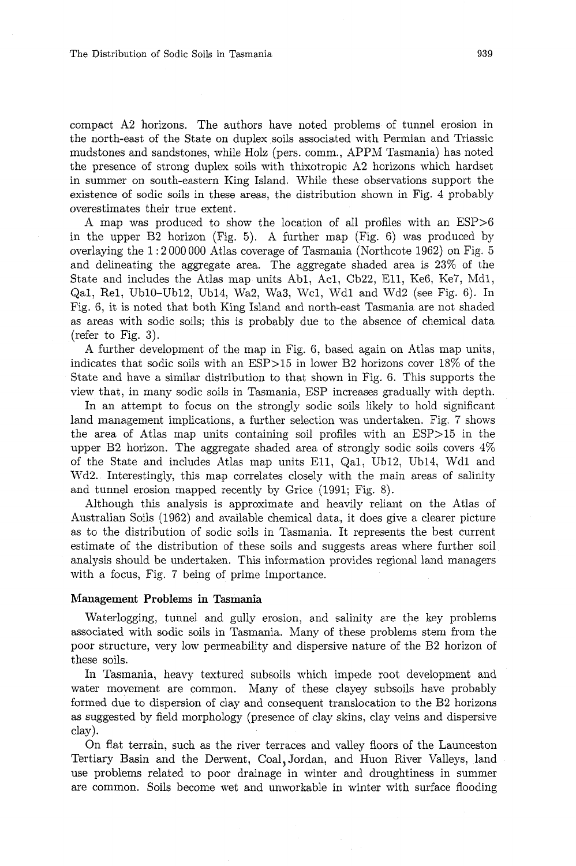compact A2 horizons. The authors have noted problems of tunnel erosion in the north-east of the State on duplex soils associated with Permian and Triassic mudstones and sandstones, while Holz (pers. comm., APPM Tasmania) has noted the presence of strong duplex soils with thixotropic A2 horizons which hardset in summer on south-eastern King Island. While these observations support the existence of sodic soils in these areas, the distribution shown in Fig. 4 probably overestimates their true extent.

A map was produced to show the location of all profiles with an ESP>G in the upper B2 horizon (Fig. 5). A further map (Fig. 6) was produced by overlaying the 1 : 2000 000 Atlas coverage of Tasmania (Northcote 1962) on Fig. 5 and delineating the aggregate area. The aggregate shaded area is 23% of the State and includes the Atlas map units Abl, Acl, Cb22, Ell, Ke6, Ke7, Mdl, Qal, Rel, UblO-Ubl2, Ub14, Wa2, Was, Wcl, Wdl and Wd2 (see Fig. 6). In Fig. 6, it is noted that both King Island and north-east Tasmania are not shaded as areas with sodic soils; this is probably due to the absence of chemical data (refer to Fig. **3).** 

A further development of the map in Fig. 6, based again on Atlas map units, indicates that sodic soils with an ESP>15 in lower B2 horizons cover 18% of the State and have a similar distribution to that shown in Fig. 6. This supports the view that, in many sodic soils in Tasmania, ESP increases gradually with depth.

In an attempt to focus on the strongly sodic soils likely to hold significant land management implications, a further selection was undertaken. Fig. 7 shows the area of Atlas map units containing soil profiles with an ESP>15 in the upper B2 horizon. The aggregate shaded area of strongly sodic soils covers 4% of the State and includes Atlas map units Ell, Qal, Ub12, Ub14, Wdl and Wd2. Interestingly, this map correlates closely with the main areas of salinity and tunnel erosion mapped recently by Grice (1991; Fig. 8).

Although this analysis is approximate and heavily reliant on the Atlas of Australian Soils (1962) and available chemical data, it does give a clearer picture as to the distribution of sodic soils in Tasmania. It represents the best current estimate of the distribution of these soils and suggests areas where further soil analysis should be undertaken. This information provides regional land managers with a focus, Fig. 7 being of prime importance.

## **Management Problems in Tasmania**

Waterlogging, tunnel and gully erosion, and salinity are the key problems associated with sodic soils in Tasmania. Many of these problems stem from the poor structure, very low permeability and dispersive nature of the B2 horizon of these soils.

In Tasmania, heavy textured subsoils which impede root development and water movement are common. Many of these clayey subsoils have probably formed due to dispersion of clay and consequent translocation to the B2 horizons as suggested by field morphology (presence of clay skins, clay veins and dispersive clay).

On flat terrain, such as the river terraces and valley floors of the Launceston Tertiary Basin and the Dement, Coal: Jordan, and Huon River Valleys, land use problems related to poor drainage in winter and droughtiness in summer are common. Soils become wet and unworkable in winter with surface flooding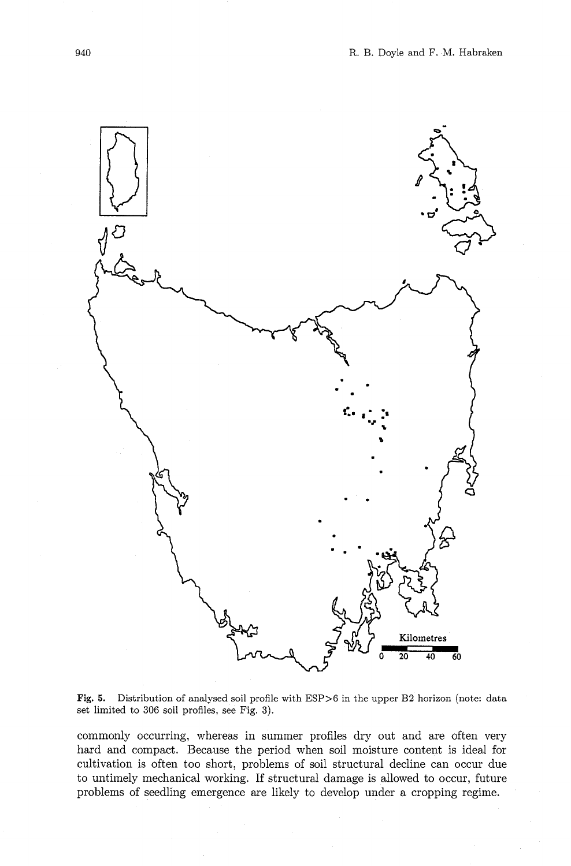

**Fig. 5.** Distribution of analysed soil profile with ESP>G in the upper B2 horizon (note: data set limited to 306 soil profiles, see Fig. 3).

commonly occurring, whereas in summer profiles dry out and are often very hard and compact. Because the period when soil moisture content is ideal for cultivation is often too short, problems of soil structural decline can occur due to untimely mechanical working. If structural damage is allowed to occur, future problems of seedling emergence are likely to develop under a cropping regime.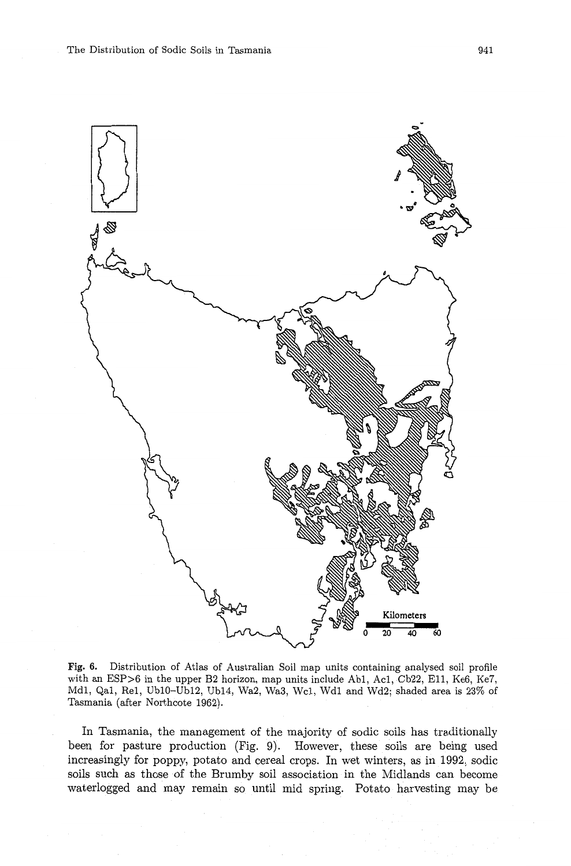

**Fig. 6.** Distribution of Atlas of Australian Soil map units containing analysed soil profile with an ESP>6 in the upper B2 horizon, map units include Ab1, Ac1, Cb22, E11, Ke6, Ke7, Mdl, Qal, Rel, UblO-Ubl2, Ub14, Wa2, Wa3, Wcl, Wdl and Wd2; shaded area is 23% of Tasmania (after Northcote 1962).

In Tasmania, the management of the majority of sodic soils has traditionally been for pasture production (Fig. 9). However, these soils are being used increasingly for poppy, potato and cereal crops. In wet winters, **as** in 1992, sodic soils such **as** those of the Brumby soil association in the Midlands can become waterlogged and may remain so until mid spring. Potato harvesting may be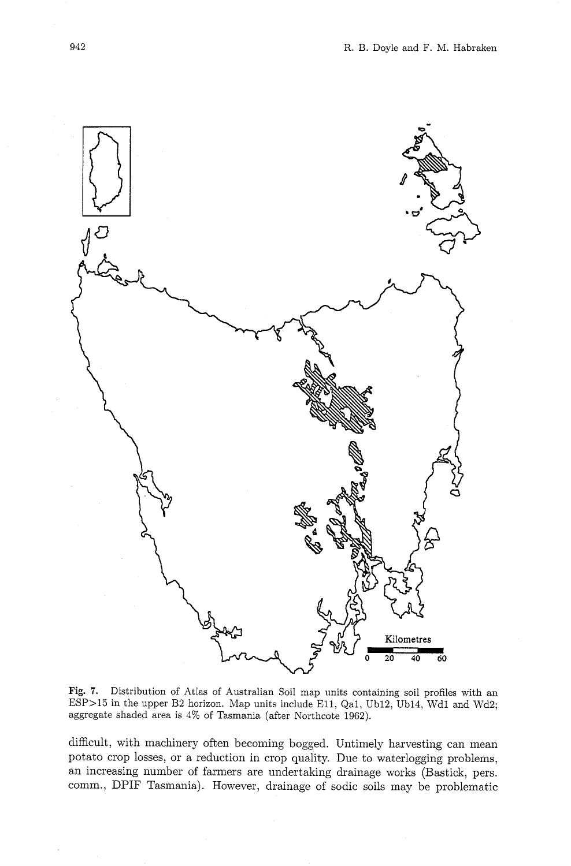

Fig. 7. Distribution of Atlas of Australian Soil map units containing soil profiles with an ESP>15 in the upper B2 horizon. Map units include Ell, Qal, Cb12, Ub14, Wdl and Wd2; aggregate shaded area is 4% of Tasmania (after Northcote 1962).

difficult, with machinery often becoming bogged. Untimely harvesting can mean potato crop losses; or a reduction in crop quality. Due to waterlogging problems, an increasing number of farmers are undertaking drainage works (Bastick, pers. comm., DPIF Tasmania). However, drainage of sodic soils may be problematic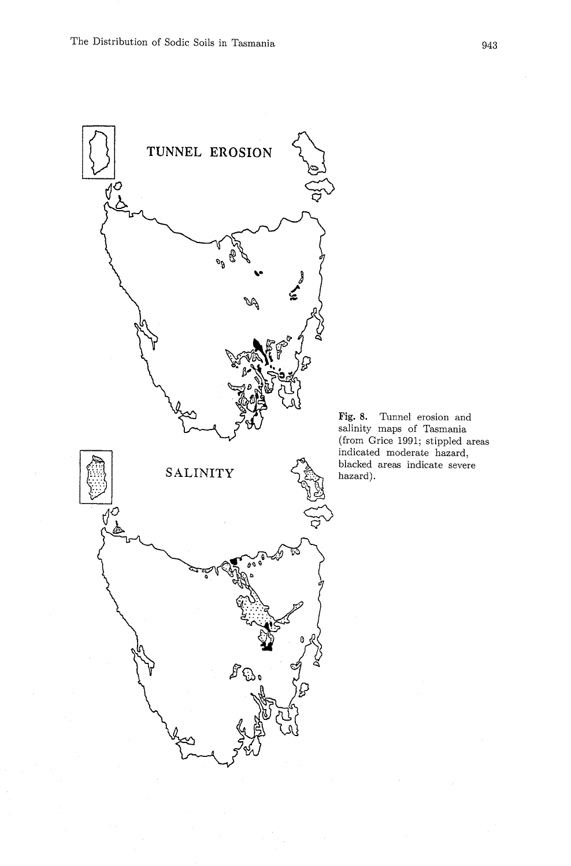

Fig. 8. Tunnel erosion and salinity maps of Tasmania (from Grice 1991; stippled areas indicated moderate hazard, blacked areas indicate severe hazard).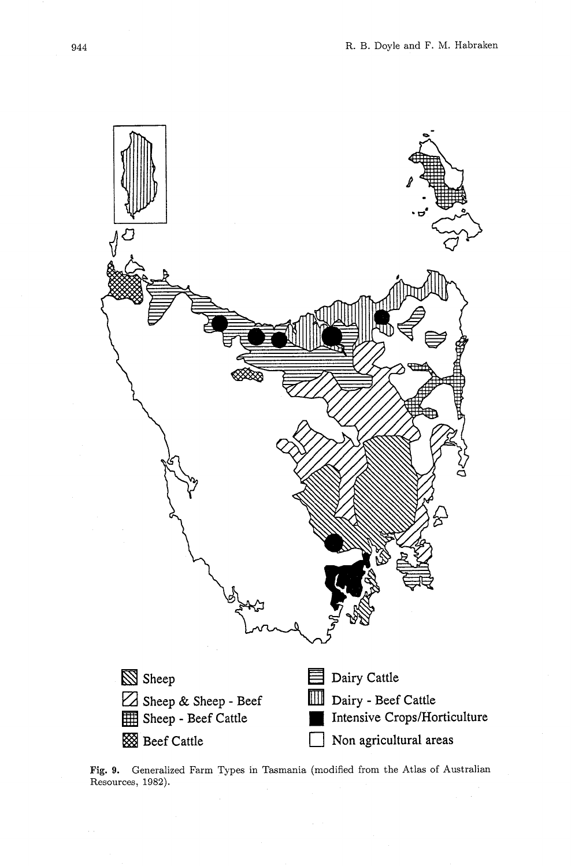

**Fig. 9.** Generalized Farm Types in Tasmania (modified from the Atlas of Australian Resources, 1982).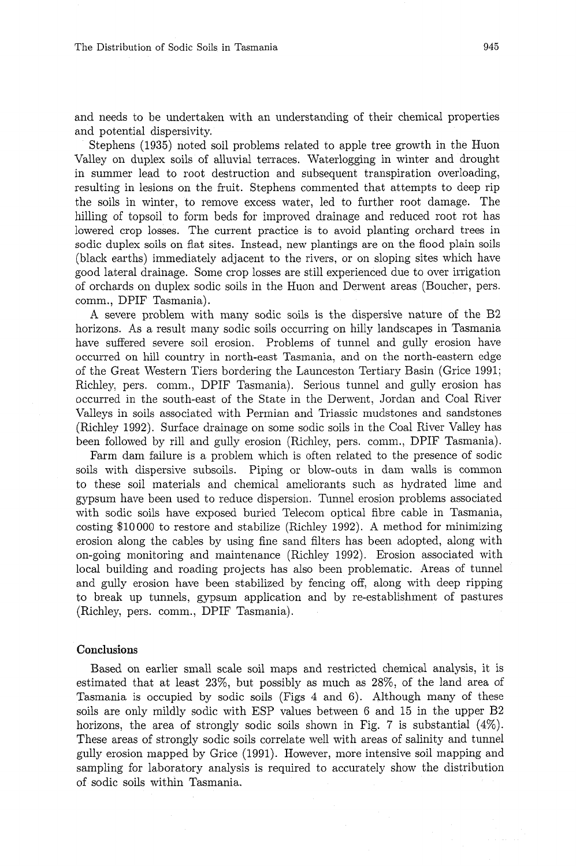and needs to be undertaken with an understanding of their chemical properties and potential dispersivity.

Stephens (1935) noted soil problems related to apple tree growth in the Huon Valley on duplex soils of alluvial tenaces. Waterlogging in winter and drought in summer lead to root destruction and subsequent transpiration overloading, resulting in lesions on the fruit. Stephens commented that attempts to deep rip the soils in winter, to remove excess water, led to further root damage. The hilling of topsoil to form beds for improved drainage and reduced root rot has lowered crop losses. The current practice is to avoid planting orchard trees in sodic duplex soils on flat sites. Instead, new plantings are on the flood plain soils (black earths) immediately adjacent to the rivers, or on sloping sites which have good lateral drainage. Some crop losses are still experienced due to over irrigation of orchards on duplex sodic soils in the Huon and Derwent areas (Boucher, pers. comm., DPIF Tasmania).

A severe problem with many sodic soils is the dispersive nature of the B2 horizons. As a result many sodic soils occurring on hilly landscapes in Tasmania have suffered severe soil erosion. Problems of tunnel and gully erosion have occurred on hill country in north-east Tasmania, and on the north-eastern edge of the Great Western Tiers bordering the Launceston Tertiary Basin (Grice 1991; Richley, pers. comm., DPIF Tasmania). Serious tunnel and gully erosion has occurred in the south-east of the State in the Derwent, Jordan and Coal River Valleys in soils associated with Permian and Triassic mudstones and sandstones (Richley 1992). Surface drainage on some sodic soils in the Coal River Valley has been followed by rill and gully erosion (Richley, pers. comm., DPIF Tasmania).

Farm dam failure is a problem which is often related to the presence of sodic soils with dispersive subsoils. Piping or blow-outs in dam walls is common to these soil materials and chemical ameliorants such as hydrated lime and gypsum have been used to reduce dispersion. Tunnel erosion problen~s associated with sodic soils have exposed buried Telecom optical fibre cable in Tasmania, costing \$10000 to restore and stabilize (Richley 1992). A method for minimizing erosion along the cables by using fine sand filters has been adopted, along with on-going monitoring and maintenance (Richley 1992). Erosion associated with local building and roading projects has also been problematic. Areas of tunnel and gully erosion have been stabilized by fencing off. along with deep ripping to break up tunnels, gypsum application and by re-establishment of pastures (Richley, pers. comm., DPIF Tasmania).

#### Conclusions

Based on earlier small scale soil maps and restricted chemical analysis, it is estimated that at least  $23\%$ , but possibly as much as  $28\%$ , of the land area of Tasmania is occupied by sodic soils (Figs 4 and 6). Although many of these soils are only mildly sodic with ESP values between G and 15 in the upper B2 horizons, the area of strongly sodic soils shown in Fig. 7 is substantial  $(4\%)$ . These areas of strongly sodic soils correlate well with areas of salinity and tunnel gully erosion mapped by Grice (1991). However, more intensive soil mapping and sampling for laboratory analysis is required to accurately show the distribution of sodic soils within Tasmania.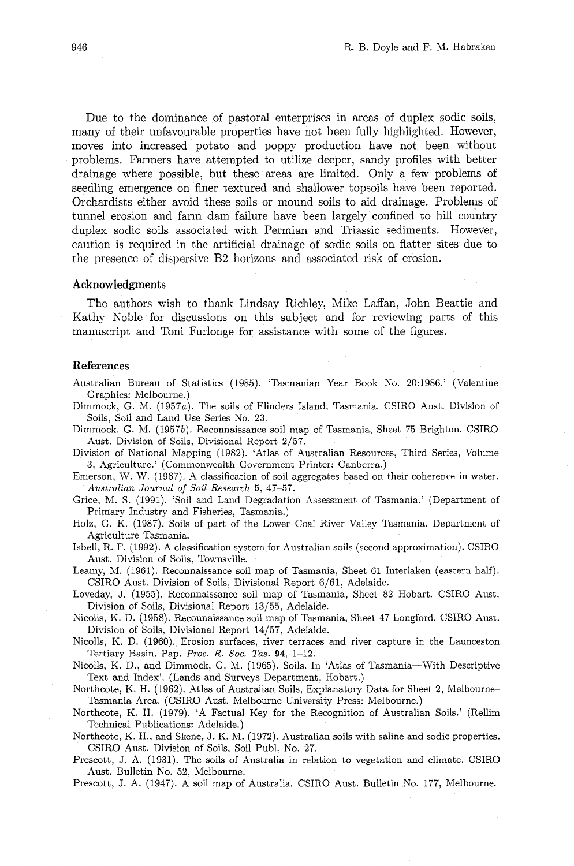Due to the dominance of pastoral enterprises in areas of duplex sodic soils, many of their unfavourable properties have not been fully highlighted. However, moves into increased potato and poppy production have not been without problems. Farmers have attempted to utilize deeper, sandy profiles with better drainage where possible, but these areas are limited. Only a few problems of seedling emergence on finer textured and shallower topsoils have been reported. Orchardists either avoid these soils or mound soils to aid drainage. Problems of tunnel erosion and farm dam failure have been largely confined to hill country duplex sodic soils associated with Permian and Triassic sediments. However, caution is required in the artificial drainage of sodic soils on flatter sites due to the presence of dispersive B2 horizons and associated risk of erosion.

## **Acknowledgments**

The authors wish to thank Lindsay Richley, Mike Laffan, John Beattie and Kathy Noble for discussions on this subject and for reviewing parts of this manuscript and Toni Furlonge for assistance with some of the figures.

## **References**

Australian Bureau of Statistics (1985). 'Tasmanian Year Book No. 20:1986.' (Valentine Graphics: Melbourne.)

- Dimmock, G. M. (1957a). The soils of Flinders Island, Tasmania. CSIRO Aust. Division of Soils, Soil and Land Use Series No. 23.
- Dimmock, G. M. (1957b). Reconnaissance soil map of Tasmania, Sheet 75 Brighton. CSIRO Aust. Division of Soils, Divisional Report 2/57.

Division of National Mapping (1982). 'Atlas of Australian Resources, Third Series, Volume 3, Agriculture.' (Commonwealth Government Printer: Canberra.)

Emerson, W. W. (1967). A classification of soil aggregates based on their coherence in water. Australian Journal of Soil Research 5, 47-57.

Grice, M. S. (1991). 'Soil and Land Degradation Assessment of Tasmania.' (Department of Primary Industry and Fisheries, Tasmania.)

Holz, G. K. (1987). Soils of part of the Lower Coal River Valley Tasmania. Department of Agriculture Tasmania.

- Isbell, R. F. (1992). A classification system for Australian soils (second approximation). CSIRO Aust. Division of Soils. Townsville.
- Leamy, M. (1961). Reconnaissance soil map of Tasmania. Sheet 61 Interlaken (eastern half). CSIRO Aust. Division of Soils, Divisional Report 6/61, Adelaide.
- Loveday, J. (1955). Reconnaissance soil map of Tasmania, Sheet 82 Hobart. CSIRO Aust. Division of Soils, Divisional Report 13/55, Adelaide.
- Nicolls, K. D. (1958). Reconnaissance soil map of Tasmania, Sheet 47 Longford. CSIRO Aust. Division of Soils, Divisional Report 14/57, Adelaide.
- Nicolls, K. D. (1960). Erosion surfaces, river terraces and river capture in the Launceston Tertiary Basin. Pap. Proc. R. Soc. Tas. 94, 1-12.
- Nicolls, K. D., and Dimmock, G. M. (1965). Soils. In 'Atlas of Tasmania-With Descriptive Text and Index'. (Lands and Surveys Department, Hobart.)
- Northcote, K. H. (1962). Atlas of Australian Soils, Explanatory Data for Sheet **2,** Melbourne-Tasmania Area. (CSIRO Aust. Melbourne University Press: Melbourne.)
- Northcote, K. H. (1979). 'A Factual Key for the Recognition of Australian Soils.' (Rellim Technical Publications: Adelaide.)
- Northcote, K. H., and Skene, J. K. M. (1972). Australian soils with saline and sodic properties. CSIRO Aust. Division of Soils, Soil Publ. No. 27.
- Prescott, J. A. (1931). The soils of Australia in relation to vegetation and climate. CSIRO Aust. Bulletin No. 52, Melbourne.
- Prescott, J. A. (1947). A soil map of Australia. CSIRO Aust. Bulletin No. 177, Melbourne.